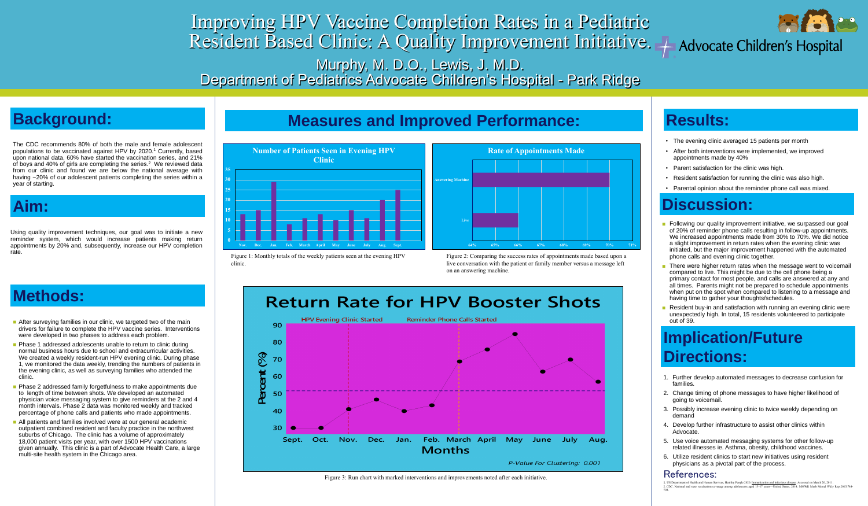# Improving HPV Vaccine Completion Rates in a Pediatric Resident Based Clinic: A Quality Improvement Initiative. A Advocate Children's Hospital Murphy, M. D.O., Lewis, J. M.D. Department of Pediatrics Advocate Children's Hospital - Park Ridge

### **Background:**

The CDC recommends 80% of both the male and female adolescent populations to be vaccinated against HPV by 2020. <sup>1</sup> Currently, based upon national data, 60% have started the vaccination series, and 21% of boys and 40% of girls are completing the series. <sup>2</sup> We reviewed data from our clinic and found we are below the national average with having ~20% of our adolescent patients completing the series within a year of starting.

### **Aim:**

Using quality improvement techniques, our goal was to initiate a new reminder system, which would increase patients making return appointments by 20% and, subsequently, increase our HPV completion rate.

### **Methods:**

- After surveying families in our clinic, we targeted two of the main drivers for failure to complete the HPV vaccine series. Interventions were developed in two phases to address each problem.
- **Phase 1 addressed adolescents unable to return to clinic during** normal business hours due to school and extracurricular activities. We created a weekly resident-run HPV evening clinic. During phase 1, we monitored the data weekly, trending the numbers of patients in the evening clinic, as well as surveying families who attended the clinic.
- **Phase 2 addressed family forgetfulness to make appointments due** to length of time between shots. We developed an automated physician voice messaging system to give reminders at the 2 and 4 month intervals. Phase 2 data was monitored weekly and tracked percentage of phone calls and patients who made appointments.
- **All patients and families involved were at our general academic** outpatient combined resident and faculty practice in the northwest suburbs of Chicago. The clinic has a volume of approximately 18,000 patient visits per year, with over 1500 HPV vaccinations given annually. This clinic is a part of Advocate Health Care, a large multi-site health system in the Chicago area.



- Following our quality improvement initiative, we surpassed our goal of 20% of reminder phone calls resulting in follow-up appointments. We increased appointments made from 30% to 70%. We did notice a slight improvement in return rates when the evening clinic was initiated, but the major improvement happened with the automated phone calls and evening clinic together.
- There were higher return rates when the message went to voicemail compared to live. This might be due to the cell phone being a primary contact for most people, and calls are answered at any and all times. Parents might not be prepared to schedule appointments when put on the spot when compared to listening to a message and having time to gather your thoughts/schedules.
- Resident buy-in and satisfaction with running an evening clinic were unexpectedly high. In total, 15 residents volunteered to participate out of 39.

#### **Measures and Improved Performance:**



Figure 1: Monthly totals of the weekly patients seen at the evening HPV clinic.

Figure 2: Comparing the success rates of appointments made based upon a live conversation with the patient or family member versus a message left on an answering machine.

Figure 3: Run chart with marked interventions and improvements noted after each initiative.



#### **Results:**

- The evening clinic averaged 15 patients per month
- After both interventions were implemented, we improved appointments made by 40%
- Parent satisfaction for the clinic was high.
- Resident satisfaction for running the clinic was also high.
- Parental opinion about the reminder phone call was mixed.

### **Discussion:**

### **Implication/Future Directions:**

- 1. Further develop automated messages to decrease confusion for families.
- 2. Change timing of phone messages to have higher likelihood of going to voicemail.
- 3. Possibly increase evening clinic to twice weekly depending on demand
- Develop further infrastructure to assist other clinics within Advocate.
- 5. Use voice automated messaging systems for other follow-up related illnesses ie. Asthma, obesity, childhood vaccines.
- 6. Utilize resident clinics to start new initiatives using resident physicians as a pivotal part of the process.

#### References:

1. US Department of Health and Human Services, Healthy People 2020. Immunization and infectious disease. Accessed on March 20, 2011. 2. CDC. National and state vaccination coverage among adolescents aged 13–17 years—United States, 2014. MMWR Morb Mortal Wkly Rep 2015;784- 792.